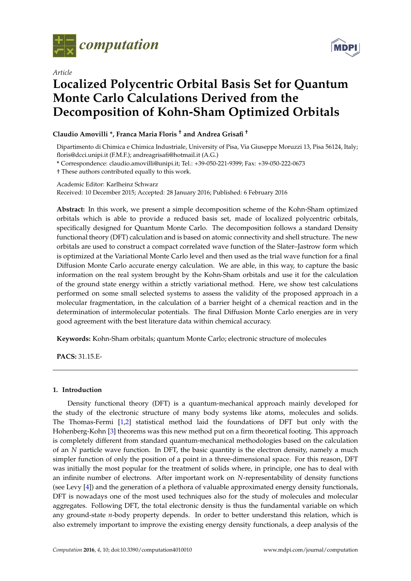

*Article*



# **Localized Polycentric Orbital Basis Set for Quantum Monte Carlo Calculations Derived from the Decomposition of Kohn-Sham Optimized Orbitals**

## **Claudio Amovilli \*, Franca Maria Floris † and Andrea Grisafi †**

Dipartimento di Chimica e Chimica Industriale, University of Pisa, Via Giuseppe Moruzzi 13, Pisa 56124, Italy; floris@dcci.unipi.it (F.M.F.); andreagrisafi@hotmail.it (A.G.)

**\*** Correspondence: claudio.amovilli@unipi.it; Tel.: +39-050-221-9399; Fax: +39-050-222-0673

† These authors contributed equally to this work.

Academic Editor: Karlheinz Schwarz Received: 10 December 2015; Accepted: 28 January 2016; Published: 6 February 2016

**Abstract:** In this work, we present a simple decomposition scheme of the Kohn-Sham optimized orbitals which is able to provide a reduced basis set, made of localized polycentric orbitals, specifically designed for Quantum Monte Carlo. The decomposition follows a standard Density functional theory (DFT) calculation and is based on atomic connectivity and shell structure. The new orbitals are used to construct a compact correlated wave function of the Slater–Jastrow form which is optimized at the Variational Monte Carlo level and then used as the trial wave function for a final Diffusion Monte Carlo accurate energy calculation. We are able, in this way, to capture the basic information on the real system brought by the Kohn-Sham orbitals and use it for the calculation of the ground state energy within a strictly variational method. Here, we show test calculations performed on some small selected systems to assess the validity of the proposed approach in a molecular fragmentation, in the calculation of a barrier height of a chemical reaction and in the determination of intermolecular potentials. The final Diffusion Monte Carlo energies are in very good agreement with the best literature data within chemical accuracy.

**Keywords:** Kohn-Sham orbitals; quantum Monte Carlo; electronic structure of molecules

**PACS:** 31.15.E-

### **1. Introduction**

Density functional theory (DFT) is a quantum-mechanical approach mainly developed for the study of the electronic structure of many body systems like atoms, molecules and solids. The Thomas-Fermi [\[1](#page-12-0)[,2\]](#page-12-1) statistical method laid the foundations of DFT but only with the Hohenberg-Kohn [\[3\]](#page-12-2) theorems was this new method put on a firm theoretical footing. This approach is completely different from standard quantum-mechanical methodologies based on the calculation of an *N* particle wave function. In DFT, the basic quantity is the electron density, namely a much simpler function of only the position of a point in a three-dimensional space. For this reason, DFT was initially the most popular for the treatment of solids where, in principle, one has to deal with an infinite number of electrons. After important work on *N*-representability of density functions (see Levy [\[4\]](#page-13-0)) and the generation of a plethora of valuable approximated energy density functionals, DFT is nowadays one of the most used techniques also for the study of molecules and molecular aggregates. Following DFT, the total electronic density is thus the fundamental variable on which any ground-state *n*-body property depends. In order to better understand this relation, which is also extremely important to improve the existing energy density functionals, a deep analysis of the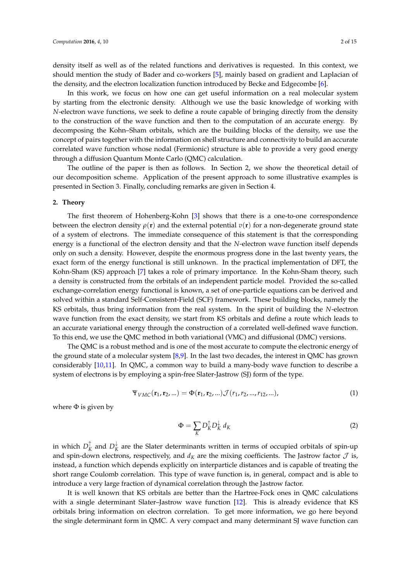density itself as well as of the related functions and derivatives is requested. In this context, we should mention the study of Bader and co-workers [\[5\]](#page-13-1), mainly based on gradient and Laplacian of the density, and the electron localization function introduced by Becke and Edgecombe [\[6\]](#page-13-2).

In this work, we focus on how one can get useful information on a real molecular system by starting from the electronic density. Although we use the basic knowledge of working with *N*-electron wave functions, we seek to define a route capable of bringing directly from the density to the construction of the wave function and then to the computation of an accurate energy. By decomposing the Kohn–Sham orbitals, which are the building blocks of the density, we use the concept of pairs together with the information on shell structure and connectivity to build an accurate correlated wave function whose nodal (Fermionic) structure is able to provide a very good energy through a diffusion Quantum Monte Carlo (QMC) calculation.

The outline of the paper is then as follows. In Section 2, we show the theoretical detail of our decomposition scheme. Application of the present approach to some illustrative examples is presented in Section 3. Finally, concluding remarks are given in Section 4.

#### **2. Theory**

The first theorem of Hohenberg-Kohn [\[3\]](#page-12-2) shows that there is a one-to-one correspondence between the electron density  $\rho(\mathbf{r})$  and the external potential  $v(\mathbf{r})$  for a non-degenerate ground state of a system of electrons. The immediate consequence of this statement is that the corresponding energy is a functional of the electron density and that the *N*-electron wave function itself depends only on such a density. However, despite the enormous progress done in the last twenty years, the exact form of the energy functional is still unknown. In the practical implementation of DFT, the Kohn-Sham (KS) approach [\[7\]](#page-13-3) takes a role of primary importance. In the Kohn-Sham theory, such a density is constructed from the orbitals of an independent particle model. Provided the so-called exchange-correlation energy functional is known, a set of one-particle equations can be derived and solved within a standard Self-Consistent-Field (SCF) framework. These building blocks, namely the KS orbitals, thus bring information from the real system. In the spirit of building the *N*-electron wave function from the exact density, we start from KS orbitals and define a route which leads to an accurate variational energy through the construction of a correlated well-defined wave function. To this end, we use the QMC method in both variational (VMC) and diffusional (DMC) versions.

The QMC is a robust method and is one of the most accurate to compute the electronic energy of the ground state of a molecular system [\[8](#page-13-4)[,9\]](#page-13-5). In the last two decades, the interest in QMC has grown considerably [\[10](#page-13-6)[,11\]](#page-13-7). In QMC, a common way to build a many-body wave function to describe a system of electrons is by employing a spin-free Slater-Jastrow (SJ) form of the type.

$$
\Psi_{VMC}(\mathbf{r}_1, \mathbf{r}_2, \ldots) = \Phi(\mathbf{r}_1, \mathbf{r}_2, \ldots) \mathcal{J}(r_1, r_2, \ldots, r_{12}, \ldots),
$$
\n(1)

where  $\Phi$  is given by

$$
\Phi = \sum_{K} D_{K}^{\uparrow} D_{K}^{\downarrow} d_{K} \tag{2}
$$

in which  $D_k^{\uparrow}$  $\int_K$  and  $D_K^{\downarrow}$  $_K^{\star}$  are the Slater determinants written in terms of occupied orbitals of spin-up and spin-down electrons, respectively, and  $d_K$  are the mixing coefficients. The Jastrow factor  $\mathcal J$  is, instead, a function which depends explicitly on interparticle distances and is capable of treating the short range Coulomb correlation. This type of wave function is, in general, compact and is able to introduce a very large fraction of dynamical correlation through the Jastrow factor.

It is well known that KS orbitals are better than the Hartree-Fock ones in QMC calculations with a single determinant Slater–Jastrow wave function [\[12\]](#page-13-8). This is already evidence that KS orbitals bring information on electron correlation. To get more information, we go here beyond the single determinant form in QMC. A very compact and many determinant SJ wave function can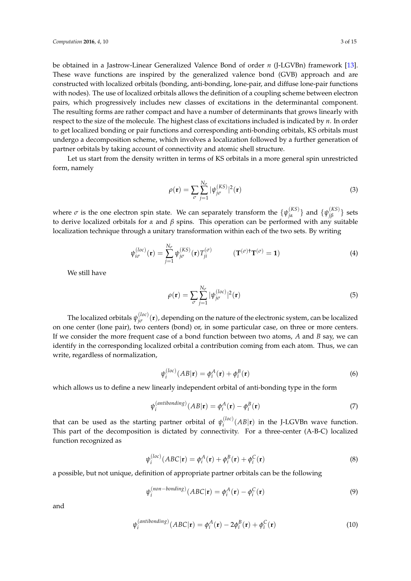be obtained in a Jastrow-Linear Generalized Valence Bond of order *n* (J-LGVBn) framework [\[13\]](#page-13-9). These wave functions are inspired by the generalized valence bond (GVB) approach and are constructed with localized orbitals (bonding, anti-bonding, lone-pair, and diffuse lone-pair functions with nodes). The use of localized orbitals allows the definition of a coupling scheme between electron pairs, which progressively includes new classes of excitations in the determinantal component. The resulting forms are rather compact and have a number of determinants that grows linearly with respect to the size of the molecule. The highest class of excitations included is indicated by *n*. In order to get localized bonding or pair functions and corresponding anti-bonding orbitals, KS orbitals must undergo a decomposition scheme, which involves a localization followed by a further generation of partner orbitals by taking account of connectivity and atomic shell structure.

Let us start from the density written in terms of KS orbitals in a more general spin unrestricted form, namely

$$
\rho(\mathbf{r}) = \sum_{\sigma} \sum_{j=1}^{N_{\sigma}} |\psi_{j\sigma}^{(KS)}|^2(\mathbf{r})
$$
\n(3)

where  $\sigma$  is the one electron spin state. We can separately transform the  $\{\psi_{i\alpha}^{(KS)}\}$  $\{\psi_{j\alpha}^{(KS)}\}$  and  $\{\psi_{j\beta}^{(KS)}\}$  $\{f^{(NS)}_{j\beta}\}$  sets to derive localized orbitals for *α* and *β* spins. This operation can be performed with any suitable localization technique through a unitary transformation within each of the two sets. By writing

$$
\psi_{i\sigma}^{(loc)}(\mathbf{r}) = \sum_{j=1}^{N_{\sigma}} \psi_{j\sigma}^{(KS)}(\mathbf{r}) T_{ji}^{(\sigma)} \qquad (\mathbf{T}^{(\sigma)\dagger} \mathbf{T}^{(\sigma)} = \mathbf{1}) \tag{4}
$$

We still have

$$
\rho(\mathbf{r}) = \sum_{\sigma} \sum_{j=1}^{N_{\sigma}} |\psi_{j\sigma}^{(loc)}|^2(\mathbf{r})
$$
\n(5)

The localized orbitals  $\psi_{i\sigma}^{(loc)}$  $j_{j\sigma}^{(loc)}(\mathbf{r})$ , depending on the nature of the electronic system, can be localized on one center (lone pair), two centers (bond) or, in some particular case, on three or more centers. If we consider the more frequent case of a bond function between two atoms, *A* and *B* say, we can identify in the corresponding localized orbital a contribution coming from each atom. Thus, we can write, regardless of normalization,

$$
\psi_i^{(loc)}(AB|\mathbf{r}) = \phi_i^A(\mathbf{r}) + \phi_i^B(\mathbf{r})
$$
\n(6)

which allows us to define a new linearly independent orbital of anti-bonding type in the form

$$
\psi_i^{(antibonding)}(AB|\mathbf{r}) = \phi_i^A(\mathbf{r}) - \phi_i^B(\mathbf{r})
$$
\n(7)

that can be used as the starting partner orbital of  $\psi_i^{(loc)}$  $\int_{i}^{(loc)} (AB|\mathbf{r})$  in the J-LGVBn wave function. This part of the decomposition is dictated by connectivity. For a three-center (A-B-C) localized function recognized as

$$
\psi_i^{(loc)}(ABC|\mathbf{r}) = \phi_i^A(\mathbf{r}) + \phi_i^B(\mathbf{r}) + \phi_i^C(\mathbf{r})
$$
\n(8)

a possible, but not unique, definition of appropriate partner orbitals can be the following

$$
\psi_i^{(non-bonding)}(ABC|\mathbf{r}) = \phi_i^A(\mathbf{r}) - \phi_i^C(\mathbf{r})
$$
\n(9)

and

$$
\psi_i^{(antibonding)}(ABC|\mathbf{r}) = \phi_i^A(\mathbf{r}) - 2\phi_i^B(\mathbf{r}) + \phi_i^C(\mathbf{r})
$$
\n(10)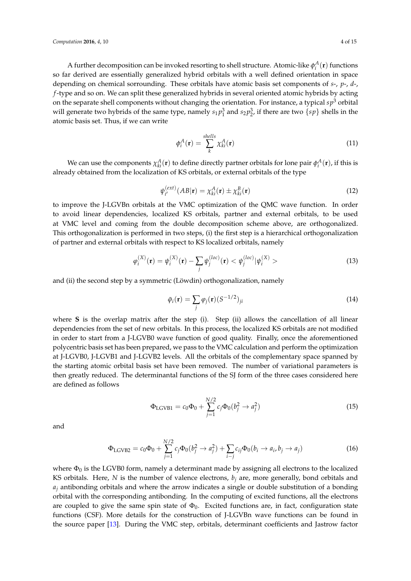A further decomposition can be invoked resorting to shell structure. Atomic-like  $\phi_i^A(\mathbf{r})$  functions so far derived are essentially generalized hybrid orbitals with a well defined orientation in space depending on chemical sorrounding. These orbitals have atomic basis set components of *s*-, *p*-, *d*-, *f*-type and so on. We can split these generalized hybrids in several oriented atomic hybrids by acting on the separate shell components without changing the orientation. For instance, a typical  $sp<sup>3</sup>$  orbital will generate two hybrids of the same type, namely  $s_1 p_1^3$  and  $s_2 p_2^3$ , if there are two  $\{sp\}$  shells in the atomic basis set. Thus, if we can write

$$
\phi_i^A(\mathbf{r}) = \sum_k^{shells} \chi_{ki}^A(\mathbf{r})
$$
\n(11)

We can use the components  $\chi_{ki}^A(\mathbf{r})$  to define directly partner orbitals for lone pair  $\phi_i^A(\mathbf{r})$ , if this is already obtained from the localization of KS orbitals, or external orbitals of the type

$$
\psi_{i'}^{(ext)}(AB|\mathbf{r}) = \chi_{ki}^A(\mathbf{r}) \pm \chi_{ki}^B(\mathbf{r})
$$
\n(12)

to improve the J-LGVBn orbitals at the VMC optimization of the QMC wave function. In order to avoid linear dependencies, localized KS orbitals, partner and external orbitals, to be used at VMC level and coming from the double decomposition scheme above, are orthogonalized. This orthogonalization is performed in two steps, (i) the first step is a hierarchical orthogonalization of partner and external orbitals with respect to KS localized orbitals, namely

$$
\varphi_i^{(X)}(\mathbf{r}) = \psi_i^{(X)}(\mathbf{r}) - \sum_j \psi_j^{(loc)}(\mathbf{r}) < \psi_j^{(loc)} | \psi_i^{(X)} > \tag{13}
$$

and (ii) the second step by a symmetric (Löwdin) orthogonalization, namely

$$
\bar{\varphi}_i(\mathbf{r}) = \sum_j \varphi_j(\mathbf{r}) (S^{-1/2})_{ji}
$$
\n(14)

where **S** is the overlap matrix after the step (i). Step (ii) allows the cancellation of all linear dependencies from the set of new orbitals. In this process, the localized KS orbitals are not modified in order to start from a J-LGVB0 wave function of good quality. Finally, once the aforementioned polycentric basis set has been prepared, we pass to the VMC calculation and perform the optimization at J-LGVB0, J-LGVB1 and J-LGVB2 levels. All the orbitals of the complementary space spanned by the starting atomic orbital basis set have been removed. The number of variational parameters is then greatly reduced. The determinantal functions of the SJ form of the three cases considered here are defined as follows

$$
\Phi_{\text{LGVB1}} = c_0 \Phi_0 + \sum_{j=1}^{N/2} c_j \Phi_0(b_j^2 \to a_j^2) \tag{15}
$$

and

$$
\Phi_{\text{LGVB2}} = c_0 \Phi_0 + \sum_{j=1}^{N/2} c_j \Phi_0(b_j^2 \to a_j^2) + \sum_{i-j} c_{ij} \Phi_0(b_i \to a_i, b_j \to a_j)
$$
(16)

where  $\Phi_0$  is the LGVB0 form, namely a determinant made by assigning all electrons to the localized KS orbitals. Here,  $N$  is the number of valence electrons,  $b_j$  are, more generally, bond orbitals and *a<sup>j</sup>* antibonding orbitals and where the arrow indicates a single or double substitution of a bonding orbital with the corresponding antibonding. In the computing of excited functions, all the electrons are coupled to give the same spin state of  $\Phi_0$ . Excited functions are, in fact, configuration state functions (CSF). More details for the construction of J-LGVBn wave functions can be found in the source paper [\[13\]](#page-13-9). During the VMC step, orbitals, determinant coefficients and Jastrow factor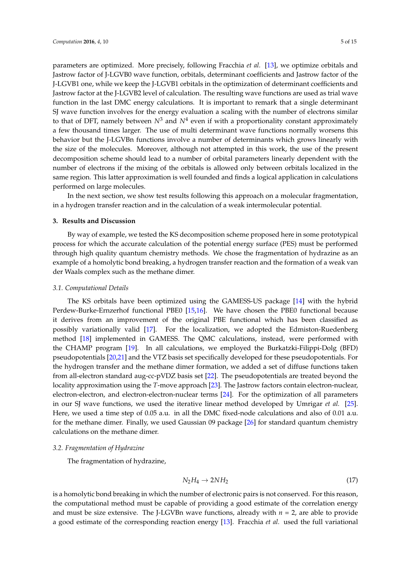parameters are optimized. More precisely, following Fracchia *et al.* [\[13\]](#page-13-9), we optimize orbitals and Jastrow factor of J-LGVB0 wave function, orbitals, determinant coefficients and Jastrow factor of the J-LGVB1 one, while we keep the J-LGVB1 orbitals in the optimization of determinant coefficients and Jastrow factor at the J-LGVB2 level of calculation. The resulting wave functions are used as trial wave function in the last DMC energy calculations. It is important to remark that a single determinant SJ wave function involves for the energy evaluation a scaling with the number of electrons similar to that of DFT, namely between  $N^3$  and  $N^4$  even if with a proportionality constant approximately a few thousand times larger. The use of multi determinant wave functions normally worsens this behavior but the J-LGVBn functions involve a number of determinants which grows linearly with the size of the molecules. Moreover, although not attempted in this work, the use of the present decomposition scheme should lead to a number of orbital parameters linearly dependent with the number of electrons if the mixing of the orbitals is allowed only between orbitals localized in the same region. This latter approximation is well founded and finds a logical application in calculations performed on large molecules.

In the next section, we show test results following this approach on a molecular fragmentation, in a hydrogen transfer reaction and in the calculation of a weak intermolecular potential.

#### **3. Results and Discussion**

By way of example, we tested the KS decomposition scheme proposed here in some prototypical process for which the accurate calculation of the potential energy surface (PES) must be performed through high quality quantum chemistry methods. We chose the fragmentation of hydrazine as an example of a homolytic bond breaking, a hydrogen transfer reaction and the formation of a weak van der Waals complex such as the methane dimer.

#### *3.1. Computational Details*

The KS orbitals have been optimized using the GAMESS-US package [\[14\]](#page-13-10) with the hybrid Perdew-Burke-Ernzerhof functional PBE0 [\[15,](#page-13-11)[16\]](#page-13-12). We have chosen the PBE0 functional because it derives from an improvement of the original PBE functional which has been classified as possibly variationally valid [\[17\]](#page-13-13). For the localization, we adopted the Edmiston-Ruedenberg method [\[18\]](#page-13-14) implemented in GAMESS. The QMC calculations, instead, were performed with the CHAMP program [\[19\]](#page-13-15). In all calculations, we employed the Burkatzki-Filippi-Dolg (BFD) pseudopotentials [\[20,](#page-13-16)[21\]](#page-13-17) and the VTZ basis set specifically developed for these pseudopotentials. For the hydrogen transfer and the methane dimer formation, we added a set of diffuse functions taken from all-electron standard aug-cc-pVDZ basis set [\[22\]](#page-13-18). The pseudopotentials are treated beyond the locality approximation using the *T*-move approach [\[23\]](#page-13-19). The Jastrow factors contain electron-nuclear, electron-electron, and electron-electron-nuclear terms [\[24\]](#page-13-20). For the optimization of all parameters in our SJ wave functions, we used the iterative linear method developed by Umrigar *et al.* [\[25\]](#page-13-21). Here, we used a time step of 0.05 a.u. in all the DMC fixed-node calculations and also of 0.01 a.u. for the methane dimer. Finally, we used Gaussian 09 package [\[26\]](#page-13-22) for standard quantum chemistry calculations on the methane dimer.

#### *3.2. Fragmentation of Hydrazine*

The fragmentation of hydrazine,

$$
N_2H_4 \to 2NH_2 \tag{17}
$$

is a homolytic bond breaking in which the number of electronic pairs is not conserved. For this reason, the computational method must be capable of providing a good estimate of the correlation energy and must be size extensive. The J-LGVBn wave functions, already with  $n = 2$ , are able to provide a good estimate of the corresponding reaction energy [\[13\]](#page-13-9). Fracchia *et al.* used the full variational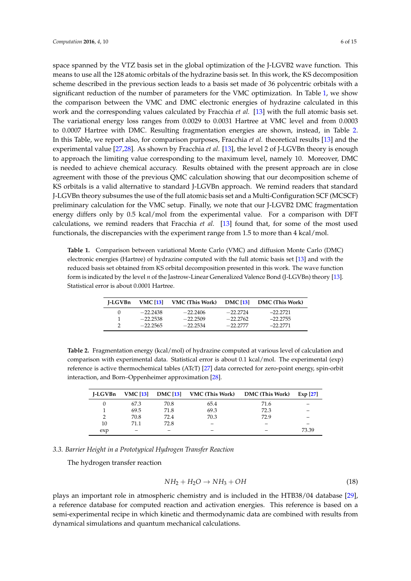space spanned by the VTZ basis set in the global optimization of the J-LGVB2 wave function. This means to use all the 128 atomic orbitals of the hydrazine basis set. In this work, the KS decomposition scheme described in the previous section leads to a basis set made of 36 polycentric orbitals with a significant reduction of the number of parameters for the VMC optimization. In Table [1,](#page-5-0) we show the comparison between the VMC and DMC electronic energies of hydrazine calculated in this work and the corresponding values calculated by Fracchia *et al.* [\[13\]](#page-13-9) with the full atomic basis set. The variational energy loss ranges from 0.0029 to 0.0031 Hartree at VMC level and from 0.0003 to 0.0007 Hartree with DMC. Resulting fragmentation energies are shown, instead, in Table [2.](#page-5-1) In this Table, we report also, for comparison purposes, Fracchia *et al*. theoretical results [\[13\]](#page-13-9) and the experimental value [\[27](#page-13-23)[,28\]](#page-13-24). As shown by Fracchia *et al*. [\[13\]](#page-13-9), the level 2 of J-LGVBn theory is enough to approach the limiting value corresponding to the maximum level, namely 10. Moreover, DMC is needed to achieve chemical accuracy. Results obtained with the present approach are in close agreement with those of the previous QMC calculation showing that our decomposition scheme of KS orbitals is a valid alternative to standard J-LGVBn approach. We remind readers that standard J-LGVBn theory subsumes the use of the full atomic basis set and a Multi-Configuration SCF (MCSCF) preliminary calculation for the VMC setup. Finally, we note that our J-LGVB2 DMC fragmentation energy differs only by 0.5 kcal/mol from the experimental value. For a comparison with DFT calculations, we remind readers that Fracchia *et al.* [\[13\]](#page-13-9) found that, for some of the most used functionals, the discrepancies with the experiment range from 1.5 to more than 4 kcal/mol.

<span id="page-5-0"></span>**Table 1.** Comparison between variational Monte Carlo (VMC) and diffusion Monte Carlo (DMC) electronic energies (Hartree) of hydrazine computed with the full atomic basis set [\[13\]](#page-13-9) and with the reduced basis set obtained from KS orbital decomposition presented in this work. The wave function form is indicated by the level *n* of the Jastrow-Linear Generalized Valence Bond (J-LGVBn) theory [\[13\]](#page-13-9). Statistical error is about 0.0001 Hartree.

| <b>I-LGVBn</b> | <b>VMC [13]</b> | VMC (This Work) | <b>DMC [13]</b> | DMC (This Work) |
|----------------|-----------------|-----------------|-----------------|-----------------|
| $^{\circ}$     | $-22.2438$      | $-22.2406$      | $-22.2724$      | $-22.2721$      |
|                | $-22.2538$      | $-22.2509$      | $-22.2762$      | $-22.2755$      |
|                | $-22.2565$      | $-22.2534$      | $-22.2777$      | $-22.2771$      |

<span id="page-5-1"></span>**Table 2.** Fragmentation energy (kcal/mol) of hydrazine computed at various level of calculation and comparison with experimental data. Statistical error is about 0.1 kcal/mol. The experimental (exp) reference is active thermochemical tables (ATcT) [\[27\]](#page-13-23) data corrected for zero-point energy, spin-orbit interaction, and Born–Oppenheimer approximation [\[28\]](#page-13-24).

| <b>I-LGVBn</b> |      |      | VMC [13] DMC [13] VMC (This Work) DMC (This Work) |      | Exp[27] |
|----------------|------|------|---------------------------------------------------|------|---------|
|                | 67.3 | 70.8 | 65.4                                              | 71.6 |         |
|                | 69.5 | 71.8 | 69.3                                              | 72.3 |         |
|                | 70.8 | 72.4 | 70.3                                              | 72.9 |         |
| 10             | 71.1 | 72.8 |                                                   |      |         |
| exp            |      |      |                                                   |      | 73.39   |

#### *3.3. Barrier Height in a Prototypical Hydrogen Transfer Reaction*

The hydrogen transfer reaction

$$
NH2 + H2O \rightarrow NH3 + OH
$$
 (18)

plays an important role in atmospheric chemistry and is included in the HTB38/04 database [\[29\]](#page-13-25), a reference database for computed reaction and activation energies. This reference is based on a semi-experimental recipe in which kinetic and thermodynamic data are combined with results from dynamical simulations and quantum mechanical calculations.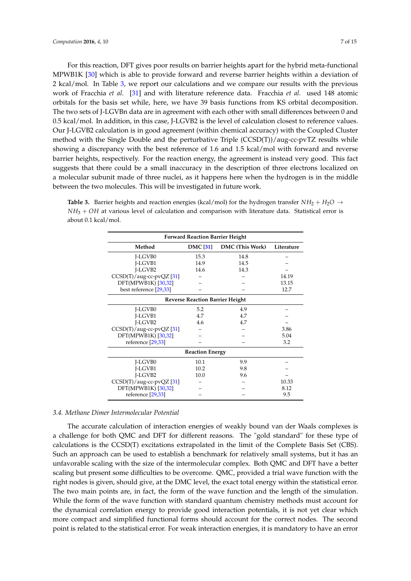For this reaction, DFT gives poor results on barrier heights apart for the hybrid meta-functional MPWB1K [\[30\]](#page-14-0) which is able to provide forward and reverse barrier heights within a deviation of 2 kcal/mol. In Table [3,](#page-6-0) we report our calculations and we compare our results with the previous work of Fracchia *et al*. [\[31\]](#page-14-1) and with literature reference data. Fracchia *et al.* used 148 atomic orbitals for the basis set while, here, we have 39 basis functions from KS orbital decomposition. The two sets of J-LGVBn data are in agreement with each other with small differences between 0 and 0.5 kcal/mol. In addition, in this case, J-LGVB2 is the level of calculation closest to reference values. Our J-LGVB2 calculation is in good agreement (within chemical accuracy) with the Coupled Cluster method with the Single Double and the perturbative Triple (CCSD(T))/aug-cc-pvTZ results while showing a discrepancy with the best reference of 1.6 and 1.5 kcal/mol with forward and reverse barrier heights, respectively. For the reaction energy, the agreement is instead very good. This fact suggests that there could be a small inaccuracy in the description of three electrons localized on a molecular subunit made of three nuclei, as it happens here when the hydrogen is in the middle between the two molecules. This will be investigated in future work.

<span id="page-6-0"></span>**Table 3.** Barrier heights and reaction energies (kcal/mol) for the hydrogen transfer  $NH_2 + H_2O \rightarrow$  $NH<sub>3</sub> + OH$  at various level of calculation and comparison with literature data. Statistical error is about 0.1 kcal/mol.

| <b>Forward Reaction Barrier Height</b> |                 |                 |            |  |  |  |  |  |
|----------------------------------------|-----------------|-----------------|------------|--|--|--|--|--|
| Method                                 | <b>DMC</b> [31] | DMC (This Work) | Literature |  |  |  |  |  |
| <b>I-LGVB0</b>                         | 15.3            | 14.8            |            |  |  |  |  |  |
| I-LGVB1                                | 14.9            | 14.5            |            |  |  |  |  |  |
| I-LGVB2                                | 14.6            | 14.3            |            |  |  |  |  |  |
| $CCSD(T)/aug-cc-pvQZ$ [31]             |                 |                 | 14.19      |  |  |  |  |  |
| DFT(MPWB1K) [30,32]                    |                 |                 | 13.15      |  |  |  |  |  |
| best reference [29,33]                 |                 |                 | 12.7       |  |  |  |  |  |
| <b>Reverse Reaction Barrier Height</b> |                 |                 |            |  |  |  |  |  |
| I-LGVB0                                | 5.2             | 4.9             |            |  |  |  |  |  |
| I-LGVB1                                | 4.7             | 4.7             |            |  |  |  |  |  |
| I-LGVB2                                | 4.6             | 4.7             |            |  |  |  |  |  |
| $CCSD(T)/aug-cc-pvQZ$ [31]             |                 |                 | 3.86       |  |  |  |  |  |
| DFT(MPWB1K) [30,32]                    |                 |                 | 5.04       |  |  |  |  |  |
| reference [29,33]                      |                 |                 | 3.2        |  |  |  |  |  |
| <b>Reaction Energy</b>                 |                 |                 |            |  |  |  |  |  |
| <b>I-LGVB0</b>                         | 10.1            | 9.9             |            |  |  |  |  |  |
| I-LGVB1                                | 10.2            | 9.8             |            |  |  |  |  |  |
| I-LGVB2                                | 10.0            | 9.6             |            |  |  |  |  |  |
| $CCSD(T)/aug-cc-pvQZ$ [31]             |                 |                 | 10.33      |  |  |  |  |  |
| DFT(MPWB1K) [30,32]                    |                 |                 | 8.12       |  |  |  |  |  |
| reference [29,33]                      |                 |                 | 9.5        |  |  |  |  |  |

#### *3.4. Methane Dimer Intermolecular Potential*

The accurate calculation of interaction energies of weakly bound van der Waals complexes is a challenge for both QMC and DFT for different reasons. The "gold standard" for these type of calculations is the CCSD(T) excitations extrapolated in the limit of the Complete Basis Set (CBS). Such an approach can be used to establish a benchmark for relatively small systems, but it has an unfavorable scaling with the size of the intermolecular complex. Both QMC and DFT have a better scaling but present some difficulties to be overcome. QMC, provided a trial wave function with the right nodes is given, should give, at the DMC level, the exact total energy within the statistical error. The two main points are, in fact, the form of the wave function and the length of the simulation. While the form of the wave function with standard quantum chemistry methods must account for the dynamical correlation energy to provide good interaction potentials, it is not yet clear which more compact and simplified functional forms should account for the correct nodes. The second point is related to the statistical error. For weak interaction energies, it is mandatory to have an error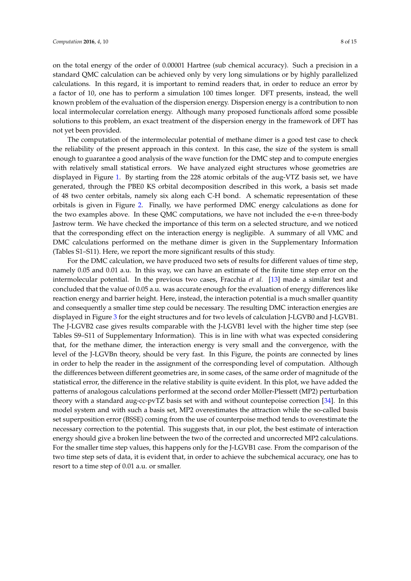on the total energy of the order of 0.00001 Hartree (sub chemical accuracy). Such a precision in a standard QMC calculation can be achieved only by very long simulations or by highly parallelized calculations. In this regard, it is important to remind readers that, in order to reduce an error by a factor of 10, one has to perform a simulation 100 times longer. DFT presents, instead, the well known problem of the evaluation of the dispersion energy. Dispersion energy is a contribution to non local intermolecular correlation energy. Although many proposed functionals afford some possible solutions to this problem, an exact treatment of the dispersion energy in the framework of DFT has not yet been provided.

The computation of the intermolecular potential of methane dimer is a good test case to check the reliability of the present approach in this context. In this case, the size of the system is small enough to guarantee a good analysis of the wave function for the DMC step and to compute energies with relatively small statistical errors. We have analyzed eight structures whose geometries are displayed in Figure [1.](#page-8-0) By starting from the 228 atomic orbitals of the aug-VTZ basis set, we have generated, through the PBE0 KS orbital decomposition described in this work, a basis set made of 48 two center orbitals, namely six along each C-H bond. A schematic representation of these orbitals is given in Figure [2.](#page-8-1) Finally, we have performed DMC energy calculations as done for the two examples above. In these QMC computations, we have not included the e-e-n three-body Jastrow term. We have checked the importance of this term on a selected structure, and we noticed that the corresponding effect on the interaction energy is negligible. A summary of all VMC and DMC calculations performed on the methane dimer is given in the Supplementary Information (Tables S1–S11). Here, we report the more significant results of this study.

For the DMC calculation, we have produced two sets of results for different values of time step, namely 0.05 and 0.01 a.u. In this way, we can have an estimate of the finite time step error on the intermolecular potential. In the previous two cases, Fracchia *et al.* [\[13\]](#page-13-9) made a similar test and concluded that the value of 0.05 a.u. was accurate enough for the evaluation of energy differences like reaction energy and barrier height. Here, instead, the interaction potential is a much smaller quantity and consequently a smaller time step could be necessary. The resulting DMC interaction energies are displayed in Figure [3](#page-9-0) for the eight structures and for two levels of calculation J-LGVB0 and J-LGVB1. The J-LGVB2 case gives results comparable with the J-LGVB1 level with the higher time step (see Tables S9–S11 of Supplementary Information). This is in line with what was expected considering that, for the methane dimer, the interaction energy is very small and the convergence, with the level of the J-LGVBn theory, should be very fast. In this Figure, the points are connected by lines in order to help the reader in the assignment of the corresponding level of computation. Although the differences between different geometries are, in some cases, of the same order of magnitude of the statistical error, the difference in the relative stability is quite evident. In this plot, we have added the patterns of analogous calculations performed at the second order Möller-Plessett (MP2) perturbation theory with a standard aug-cc-pvTZ basis set with and without countepoise correction [\[34\]](#page-14-4). In this model system and with such a basis set, MP2 overestimates the attraction while the so-called basis set superposition error (BSSE) coming from the use of counterpoise method tends to overestimate the necessary correction to the potential. This suggests that, in our plot, the best estimate of interaction energy should give a broken line between the two of the corrected and uncorrected MP2 calculations. For the smaller time step values, this happens only for the J-LGVB1 case. From the comparison of the two time step sets of data, it is evident that, in order to achieve the subchemical accuracy, one has to resort to a time step of 0.01 a.u. or smaller.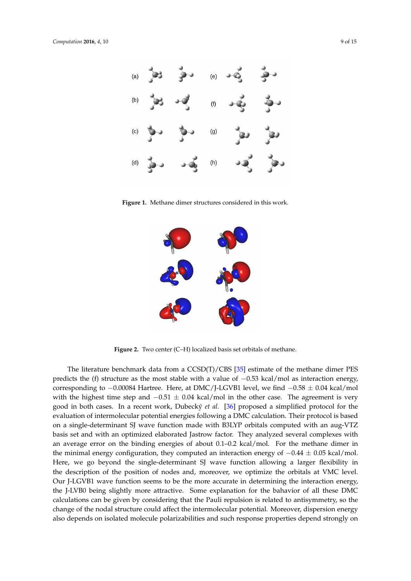<span id="page-8-0"></span>

<span id="page-8-1"></span>**Figure 1.** Methane dimer structures considered in this work.



**Figure 2.** Two center (C–H) localized basis set orbitals of methane.

The literature benchmark data from a  $CCSD(T)/CBS$  [\[35\]](#page-14-5) estimate of the methane dimer PES predicts the (f) structure as the most stable with a value of −0.53 kcal/mol as interaction energy, corresponding to −0.00084 Hartree. Here, at DMC/J-LGVB1 level, we find −0.58 ± 0.04 kcal/mol with the highest time step and  $-0.51 \pm 0.04$  kcal/mol in the other case. The agreement is very good in both cases. In a recent work, Dubecký *et al.* [\[36\]](#page-14-6) proposed a simplified protocol for the evaluation of intermolecular potential energies following a DMC calculation. Their protocol is based on a single-determinant SJ wave function made with B3LYP orbitals computed with an aug-VTZ basis set and with an optimized elaborated Jastrow factor. They analyzed several complexes with an average error on the binding energies of about 0.1–0.2 kcal/mol. For the methane dimer in the minimal energy configuration, they computed an interaction energy of  $-0.44 \pm 0.05$  kcal/mol. Here, we go beyond the single-determinant SJ wave function allowing a larger flexibility in the description of the position of nodes and, moreover, we optimize the orbitals at VMC level. Our J-LGVB1 wave function seems to be the more accurate in determining the interaction energy, the J-LVB0 being slightly more attractive. Some explanation for the bahavior of all these DMC calculations can be given by considering that the Pauli repulsion is related to antisymmetry, so the change of the nodal structure could affect the intermolecular potential. Moreover, dispersion energy also depends on isolated molecule polarizabilities and such response properties depend strongly on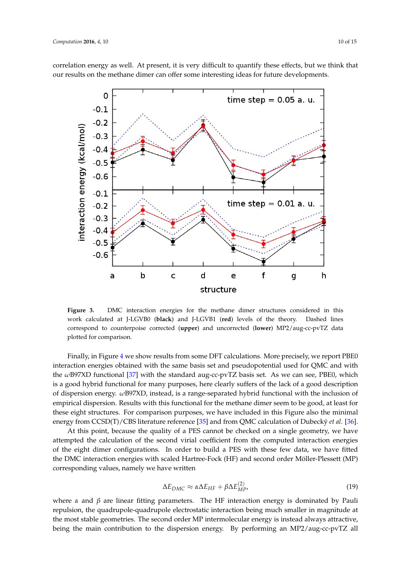correlation energy as well. At present, it is very difficult to quantify these effects, but we think that our results on the methane dimer can offer some interesting ideas for future developments.

<span id="page-9-0"></span>

**Figure 3.** DMC interaction energies for the methane dimer structures considered in this work calculated at J-LGVB0 (**black**) and J-LGVB1 (**red**) levels of the theory. Dashed lines correspond to counterpoise corrected (**upper**) and uncorrected (**lower**) MP2/aug-cc-pvTZ data plotted for comparison.

Finally, in Figure [4](#page-10-0) we show results from some DFT calculations. More precisely, we report PBE0 interaction energies obtained with the same basis set and pseudopotential used for QMC and with the *ω*B97XD functional [\[37\]](#page-14-7) with the standard aug-cc-pvTZ basis set. As we can see, PBE0, which is a good hybrid functional for many purposes, here clearly suffers of the lack of a good description of dispersion energy. *ω*B97XD, instead, is a range-separated hybrid functional with the inclusion of empirical dispersion. Results with this functional for the methane dimer seem to be good, at least for these eight structures. For comparison purposes, we have included in this Figure also the minimal energy from CCSD(T)/CBS literature reference [\[35\]](#page-14-5) and from QMC calculation of Dubecký *et al*. [\[36\]](#page-14-6).

At this point, because the quality of a PES cannot be checked on a single geometry, we have attempted the calculation of the second virial coefficient from the computed interaction energies of the eight dimer configurations. In order to build a PES with these few data, we have fitted the DMC interaction energies with scaled Hartree-Fock (HF) and second order Möller-Plessett (MP) corresponding values, namely we have written

$$
\Delta E_{DMC} \approx \alpha \Delta E_{HF} + \beta \Delta E_{MP}^{(2)},\tag{19}
$$

where  $\alpha$  and  $\beta$  are linear fitting parameters. The HF interaction energy is dominated by Pauli repulsion, the quadrupole-quadrupole electrostatic interaction being much smaller in magnitude at the most stable geometries. The second order MP intermolecular energy is instead always attractive, being the main contribution to the dispersion energy. By performing an MP2/aug-cc-pvTZ all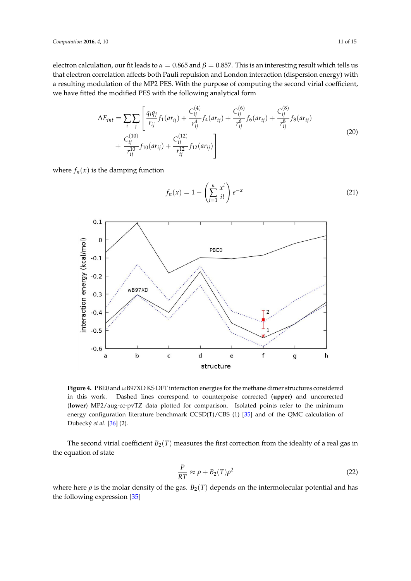electron calculation, our fit leads to  $\alpha = 0.865$  and  $\beta = 0.857$ . This is an interesting result which tells us that electron correlation affects both Pauli repulsion and London interaction (dispersion energy) with a resulting modulation of the MP2 PES. With the purpose of computing the second virial coefficient, we have fitted the modified PES with the following analytical form

$$
\Delta E_{int} = \sum_{i} \sum_{j} \left[ \frac{q_{i}q_{j}}{r_{ij}} f_{1}(ar_{ij}) + \frac{C_{ij}^{(4)}}{r_{ij}^{4}} f_{4}(ar_{ij}) + \frac{C_{ij}^{(6)}}{r_{ij}^{6}} f_{6}(ar_{ij}) + \frac{C_{ij}^{(8)}}{r_{ij}^{8}} f_{8}(ar_{ij}) + \frac{C_{ij}^{(10)}}{r_{ij}^{10}} f_{10}(ar_{ij}) + \frac{C_{ij}^{(12)}}{r_{ij}^{12}} f_{12}(ar_{ij}) \right]
$$
\n(20)

where  $f_n(x)$  is the damping function

<span id="page-10-0"></span>

$$
f_n(x) = 1 - \left(\sum_{i=1}^n \frac{x^i}{i!}\right) e^{-x}
$$
 (21)

**Figure 4.** PBE0 and *ω*B97XD KS DFT interaction energies for the methane dimer structures considered in this work. Dashed lines correspond to counterpoise corrected (**upper**) and uncorrected (**lower**) MP2/aug-cc-pvTZ data plotted for comparison. Isolated points refer to the minimum energy configuration literature benchmark CCSD(T)/CBS (1) [\[35\]](#page-14-5) and of the QMC calculation of Dubecký *et al.* [\[36\]](#page-14-6) (2).

The second virial coefficient  $B_2(T)$  measures the first correction from the ideality of a real gas in the equation of state

$$
\frac{P}{RT} \approx \rho + B_2(T)\rho^2 \tag{22}
$$

where here  $\rho$  is the molar density of the gas.  $B_2(T)$  depends on the intermolecular potential and has the following expression [\[35\]](#page-14-5)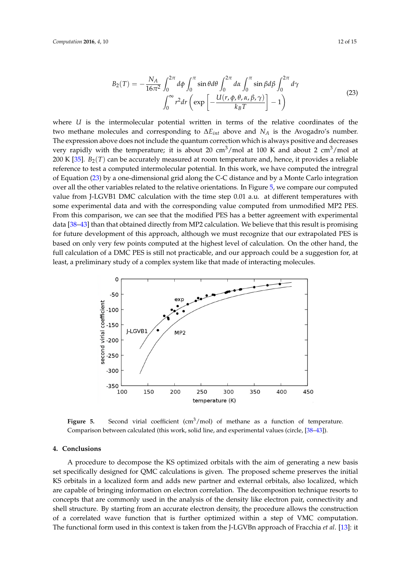$$
B_2(T) = -\frac{N_A}{16\pi^2} \int_0^{2\pi} d\phi \int_0^{\pi} \sin\theta d\theta \int_0^{2\pi} d\alpha \int_0^{\pi} \sin\beta d\beta \int_0^{2\pi} d\gamma
$$
  

$$
\int_0^{\infty} r^2 dr \left( \exp\left[ -\frac{U(r, \phi, \theta, \alpha, \beta, \gamma)}{k_B T} \right] - 1 \right)
$$
 (23)

<span id="page-11-0"></span>where *U* is the intermolecular potential written in terms of the relative coordinates of the two methane molecules and corresponding to ∆*Eint* above and *N<sup>A</sup>* is the Avogadro's number. The expression above does not include the quantum correction which is always positive and decreases very rapidly with the temperature; it is about 20 cm<sup>3</sup>/mol at 100 K and about 2 cm<sup>3</sup>/mol at 200 K  $[35]$ .  $B_2(T)$  can be accurately measured at room temperature and, hence, it provides a reliable reference to test a computed intermolecular potential. In this work, we have computed the intregral of Equation [\(23\)](#page-11-0) by a one-dimensional grid along the C-C distance and by a Monte Carlo integration over all the other variables related to the relative orientations. In Figure [5,](#page-11-1) we compare our computed value from J-LGVB1 DMC calculation with the time step 0.01 a.u. at different temperatures with some experimental data and with the corresponding value computed from unmodified MP2 PES. From this comparison, we can see that the modified PES has a better agreement with experimental data [\[38](#page-14-8)[–43\]](#page-14-9) than that obtained directly from MP2 calculation. We believe that this result is promising for future development of this approach, although we must recognize that our extrapolated PES is based on only very few points computed at the highest level of calculation. On the other hand, the full calculation of a DMC PES is still not practicable, and our approach could be a suggestion for, at least, a preliminary study of a complex system like that made of interacting molecules.

<span id="page-11-1"></span>

Figure 5. Second virial coefficient (cm<sup>3</sup>/mol) of methane as a function of temperature. Comparison between calculated (this work, solid line, and experimental values (circle, [\[38](#page-14-8)[–43\]](#page-14-9)).

#### **4. Conclusions**

A procedure to decompose the KS optimized orbitals with the aim of generating a new basis set specifically designed for QMC calculations is given. The proposed scheme preserves the initial KS orbitals in a localized form and adds new partner and external orbitals, also localized, which are capable of bringing information on electron correlation. The decomposition technique resorts to concepts that are commonly used in the analysis of the density like electron pair, connectivity and shell structure. By starting from an accurate electron density, the procedure allows the construction of a correlated wave function that is further optimized within a step of VMC computation. The functional form used in this context is taken from the J-LGVBn approach of Fracchia *et al*. [\[13\]](#page-13-9): it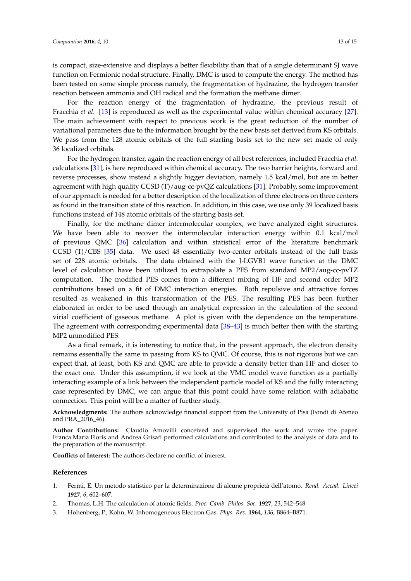is compact, size-extensive and displays a better flexibility than that of a single determinant SJ wave function on Fermionic nodal structure. Finally, DMC is used to compute the energy. The method has been tested on some simple process namely, the fragmentation of hydrazine, the hydrogen transfer reaction between ammonia and OH radical and the formation the methane dimer.

For the reaction energy of the fragmentation of hydrazine, the previous result of Fracchia *et al*. [\[13\]](#page-13-9) is reproduced as well as the experimental value within chemical accuracy [\[27\]](#page-13-23). The main achievement with respect to previous work is the great reduction of the number of variational parameters due to the information brought by the new basis set derived from KS orbitals. We pass from the 128 atomic orbitals of the full starting basis set to the new set made of only 36 localized orbitals.

For the hydrogen transfer, again the reaction energy of all best references, included Fracchia *et al.* calculations [\[31\]](#page-14-1), is here reproduced within chemical accuracy. The two barrier heights, forward and reverse processes, show instead a slightly bigger deviation, namely 1.5 kcal/mol, but are in better agreement with high quality CCSD (T)/aug-cc-pvQZ calculations [\[31\]](#page-14-1). Probably, some improvement of our approach is needed for a better description of the localization of three electrons on three centers as found in the transition state of this reaction. In addition, in this case, we use only 39 localized basis functions instead of 148 atomic orbitals of the starting basis set.

Finally, for the methane dimer intermolecular complex, we have analyzed eight structures. We have been able to recover the intermolecular interaction energy within 0.1 kcal/mol of previous QMC [\[36\]](#page-14-6) calculation and within statistical error of the literature benchmark CCSD (T)/CBS [\[35\]](#page-14-5) data. We used 48 essentially two-center orbitals instead of the full basis set of 228 atomic orbitals. The data obtained with the J-LGVB1 wave function at the DMC level of calculation have been utilized to extrapolate a PES from standard MP2/aug-cc-pvTZ computation. The modified PES comes from a different mixing of HF and second order MP2 contributions based on a fit of DMC interaction energies. Both repulsive and attractive forces resulted as weakened in this transformation of the PES. The resulting PES has been further elaborated in order to be used through an analytical expression in the calculation of the second virial coefficient of gaseous methane. A plot is given with the dependence on the temperature. The agreement with corresponding experimental data [\[38](#page-14-8)[–43\]](#page-14-9) is much better then with the starting MP2 unmodified PES.

As a final remark, it is interesting to notice that, in the present approach, the electron density remains essentially the same in passing from KS to QMC. Of course, this is not rigorous but we can expect that, at least, both KS and QMC are able to provide a density better than HF and closer to the exact one. Under this assumption, if we look at the VMC model wave function as a partially interacting example of a link between the independent particle model of KS and the fully interacting case represented by DMC, we can argue that this point could have some relation with adiabatic connection. This point will be a matter of further study.

**Acknowledgments:** The authors acknowledge financial support from the University of Pisa (Fondi di Ateneo and PRA\_2016\_46).

**Author Contributions:** Claudio Amovilli conceived and supervised the work and wrote the paper. Franca Maria Floris and Andrea Grisafi performed calculations and contributed to the analysis of data and to the preparation of the manuscript.

**Conflicts of Interest:** The authors declare no conflict of interest.

#### **References**

- <span id="page-12-0"></span>1. Fermi, E. Un metodo statistico per la determinazione di alcune proprietà dell'atomo. *Rend. Accad. Lincei* **1927**, *6*, 602–607.
- <span id="page-12-1"></span>2. Thomas, L.H. The calculation of atomic fields. *Proc. Camb. Philos. Soc.* **1927**, *23*, 542–548
- <span id="page-12-2"></span>3. Hohenberg, P.; Kohn, W. Inhomogeneous Electron Gas. *Phys. Rev.* **1964**, *136*, B864–B871.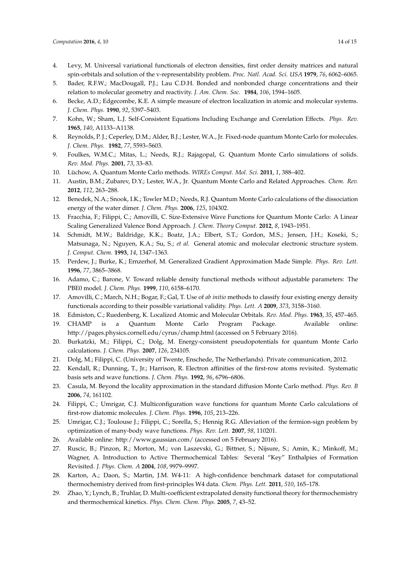- <span id="page-13-0"></span>4. Levy, M. Universal variational functionals of electron densities, first order density matrices and natural spin-orbitals and solution of the v-representability problem. *Proc. Natl. Acad. Sci. USA* **1979**, *76*, 6062–6065.
- <span id="page-13-1"></span>5. Bader, R.F.W.; MacDougall, P.J.; Lau C.D.H. Bonded and nonbonded charge concentrations and their relation to molecular geometry and reactivity. *J. Am. Chem. Soc.* **1984**, *106*, 1594–1605.
- <span id="page-13-2"></span>6. Becke, A.D.; Edgecombe, K.E. A simple measure of electron localization in atomic and molecular systems. *J. Chem. Phys.* **1990**, *92*, 5397–5403.
- <span id="page-13-3"></span>7. Kohn, W.; Sham, L.J. Self-Consistent Equations Including Exchange and Correlation Effects. *Phys. Rev.* **1965**, *140*, A1133–A1138.
- <span id="page-13-4"></span>8. Reynolds, P. J.; Ceperley, D.M.; Alder, B.J.; Lester, W.A., Jr. Fixed-node quantum Monte Carlo for molecules. *J. Chem. Phys.* **1982**, *77*, 5593–5603.
- <span id="page-13-5"></span>9. Foulkes, W.M.C.; Mitas, L.; Needs, R.J.; Rajagopal, G. Quantum Monte Carlo simulations of solids. *Rev. Mod. Phys.* **2001**, *73*, 33–83.
- <span id="page-13-6"></span>10. Lüchow, A. Quantum Monte Carlo methods. *WIREs Comput. Mol. Sci.* **2011**, *1*, 388–402.
- <span id="page-13-7"></span>11. Austin, B.M.; Zubarev, D.Y.; Lester, W.A., Jr. Quantum Monte Carlo and Related Approaches. *Chem. Rev.* **2012**, *112*, 263–288.
- <span id="page-13-8"></span>12. Benedek, N.A.; Snook, I.K.; Towler M.D.; Needs, R.J. Quantum Monte Carlo calculations of the dissociation energy of the water dimer. *J. Chem. Phys.* **2006**, *125*, 104302.
- <span id="page-13-9"></span>13. Fracchia, F.; Filippi, C.; Amovilli, C. Size-Extensive Wave Functions for Quantum Monte Carlo: A Linear Scaling Generalized Valence Bond Approach. *J. Chem. Theory Comput.* **2012**, *8*, 1943–1951.
- <span id="page-13-10"></span>14. Schmidt, M.W.; Baldridge, K.K.; Boatz, J.A.; Elbert, S.T.; Gordon, M.S.; Jensen, J.H.; Koseki, S.; Matsunaga, N.; Nguyen, K.A.; Su, S.; *et al.* General atomic and molecular electronic structure system. *J. Comput. Chem.* **1993**, *14*, 1347–1363.
- <span id="page-13-11"></span>15. Perdew, J.; Burke, K.; Ernzerhof, M. Generalized Gradient Approximation Made Simple. *Phys. Rev. Lett.* **1996**, *77*, 3865–3868.
- <span id="page-13-12"></span>16. Adamo, C.; Barone, V. Toward reliable density functional methods without adjustable parameters: The PBE0 model. *J. Chem. Phys.* **1999**, *110*, 6158–6170.
- <span id="page-13-13"></span>17. Amovilli, C.; March, N.H.; Bogar, F.; Gal, T. Use of *ab initio* methods to classify four existing energy density functionals according to their possible variational validity. *Phys. Lett. A* **2009**, *373*, 3158–3160.
- <span id="page-13-15"></span><span id="page-13-14"></span>18. Edmiston, C.; Ruedenberg, K. Localized Atomic and Molecular Orbitals. *Rev. Mod. Phys.* **1963**, *35*, 457–465.
- 19. CHAMP is a Quantum Monte Carlo Program Package. Available online: http://pages.physics.cornell.edu/cyrus/champ.html (accessed on 5 February 2016).
- <span id="page-13-16"></span>20. Burkatzki, M.; Filippi, C.; Dolg, M. Energy-consistent pseudopotentials for quantum Monte Carlo calculations. *J. Chem. Phys.* **2007**, *126*, 234105.
- <span id="page-13-17"></span>21. Dolg, M.; Filippi, C. (University of Twente, Enschede, The Netherlands). Private communication, 2012.
- <span id="page-13-18"></span>22. Kendall, R.; Dunning, T., Jr.; Harrison, R. Electron affinities of the first-row atoms revisited. Systematic basis sets and wave functions. *J. Chem. Phys.* **1992**, *96*, 6796–6806.
- <span id="page-13-19"></span>23. Casula, M. Beyond the locality approximation in the standard diffusion Monte Carlo method. *Phys. Rev. B* **2006**, *74*, 161102.
- <span id="page-13-20"></span>24. Filippi, C.; Umrigar, C.J. Multiconfiguration wave functions for quantum Monte Carlo calculations of first-row diatomic molecules. *J. Chem. Phys.* **1996**, *105*, 213–226.
- <span id="page-13-21"></span>25. Umrigar, C.J.; Toulouse J.; Filippi, C.; Sorella, S.; Hennig R.G. Alleviation of the fermion-sign problem by optimization of many-body wave functions. *Phys. Rev. Lett.* **2007**, *98*, 110201.
- <span id="page-13-22"></span>26. Available online: http://www.gaussian.com/ (accessed on 5 February 2016).
- <span id="page-13-23"></span>27. Ruscic, B.; Pinzon, R.; Morton, M.; von Laszevski, G.; Bittner, S.; Nijsure, S.; Amin, K.; Minkoff, M.; Wagner, A. Introduction to Active Thermochemical Tables: Several "Key" Enthalpies of Formation Revisited. *J. Phys. Chem. A* **2004**, *108*, 9979–9997.
- <span id="page-13-24"></span>28. Karton, A.; Daon, S.; Martin, J.M. W4-11: A high-confidence benchmark dataset for computational thermochemistry derived from first-principles W4 data. *Chem. Phys. Lett.* **2011**, *510*, 165–178.
- <span id="page-13-25"></span>29. Zhao, Y.; Lynch, B.; Truhlar, D. Multi-coefficient extrapolated density functional theory for thermochemistry and thermochemical kinetics. *Phys. Chem. Chem. Phys.* **2005**, *7*, 43–52.